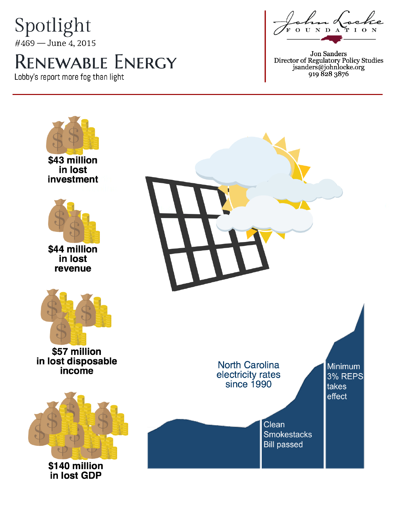## Spotlight #469 - June 4, 2015

# **RENEWABLE ENERGY**

Lobby's report more fog than light

ma Loc  $0$  U N D A TIO

Jon Sanders<br>Director of Regulatory Policy Studies<br>jsanders@johnlocke.org<br>919 828 3876

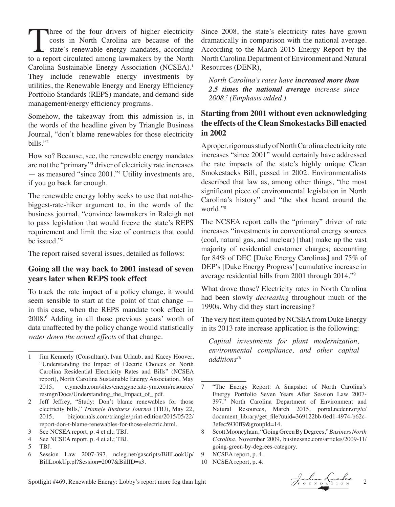Three of the four drivers of higher electricity<br>costs in North Carolina are because of the<br>state's renewable energy mandates, according<br>to a report circulated among lawmakers by the North costs in North Carolina are because of the state's renewable energy mandates, according to a report circulated among lawmakers by the North Carolina Sustainable Energy Association (NCSEA).<sup>1</sup> They include renewable energy investments by utilities, the Renewable Energy and Energy Efficiency Portfolio Standards (REPS) mandate, and demand-side management/energy efficiency programs.

Somehow, the takeaway from this admission is, in the words of the headline given by Triangle Business Journal, "don't blame renewables for those electricity bills."2

How so? Because, see, the renewable energy mandates are not the "primary"3 driver of electricity rate increases — as measured "since 2001."4 Utility investments are, if you go back far enough.

The renewable energy lobby seeks to use that not-thebiggest-rate-hiker argument to, in the words of the business journal, "convince lawmakers in Raleigh not to pass legislation that would freeze the state's REPS requirement and limit the size of contracts that could be issued."5

The report raised several issues, detailed as follows:

#### **Going all the way back to 2001 instead of seven years later when REPS took effect**

To track the rate impact of a policy change, it would seem sensible to start at the point of that change in this case, when the REPS mandate took effect in 2008.6 Adding in all those previous years' worth of data unaffected by the policy change would statistically *water down the actual effects* of that change.

Since 2008, the state's electricity rates have grown dramatically in comparison with the national average. According to the March 2015 Energy Report by the North Carolina Department of Environment and Natural Resources (DENR),

*North Carolina's rates have increased more than 2.5 times the national average increase since 2008.7 (Emphasis added.)*

#### **Starting from 2001 without even acknowledging the effects of the Clean Smokestacks Bill enacted in 2002**

A proper, rigorous study of North Carolina electricity rate increases "since 2001" would certainly have addressed the rate impacts of the state's highly unique Clean Smokestacks Bill, passed in 2002. Environmentalists described that law as, among other things, "the most significant piece of environmental legislation in North Carolina's history" and "the shot heard around the world."8

The NCSEA report calls the "primary" driver of rate increases "investments in conventional energy sources (coal, natural gas, and nuclear) [that] make up the vast majority of residential customer charges; accounting for 84% of DEC [Duke Energy Carolinas] and 75% of DEP's [Duke Energy Progress'] cumulative increase in average residential bills from 2001 through 2014."9

What drove those? Electricity rates in North Carolina had been slowly *decreasing* throughout much of the 1990s. Why did they start increasing?

The very first item quoted by NCSEA from Duke Energy in its 2013 rate increase application is the following:

*Capital investments for plant modernization, environmental compliance, and other capital additions10*

<sup>1</sup> Jim Kennerly (Consultant), Ivan Urlaub, and Kacey Hoover, "Understanding the Impact of Electric Choices on North Carolina Residential Electricity Rates and Bills" (NCSEA report), North Carolina Sustainable Energy Association, May 2015, c.ymcdn.com/sites/energync.site-ym.com/resource/ resmgr/Docs/Understanding\_the\_Impact\_of\_.pdf.

<sup>2</sup> Jeff Jeffrey, "Study: Don't blame renewables for those electricity bills," *Triangle Business Journal* (TBJ), May 22, 2015, bizjournals.com/triangle/print-edition/2015/05/22/ report-don-t-blame-renewables-for-those-electric.html.

<sup>3</sup> See NCSEA report, p. 4 et al.; TBJ.

<sup>4</sup> See NCSEA report, p. 4 et al.; TBJ.<br>5 TBJ.

TBJ.

<sup>6</sup> Session Law 2007-397, ncleg.net/gascripts/BillLookUp/ BillLookUp.pl?Session=2007&BillID=s3.

<sup>7</sup> "The Energy Report: A Snapshot of North Carolina's Energy Portfolio Seven Years After Session Law 2007- 397," North Carolina Department of Environment and Natural Resources, March 2015, portal.ncdenr.org/c/ document\_library/get\_file?uuid=369122bb-0ed1-4974-b62c-3efec5930ff9&groupId=14.

<sup>8</sup> Scott Mooneyham, "Going Green By Degrees," *Business North Carolina*, November 2009, businessnc.com/articles/2009-11/ going-green-by-degrees-category.

<sup>9</sup> NCSEA report, p. 4.

<sup>10</sup> NCSEA report, p. 4.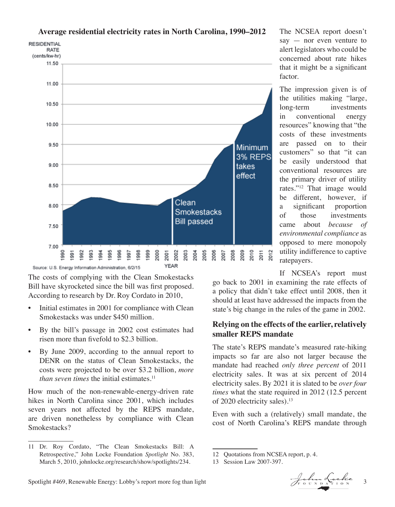

**Average residential electricity rates in North Carolina, 1990–2012**

The costs of complying with the Clean Smokestacks Bill have skyrocketed since the bill was first proposed. According to research by Dr. Roy Cordato in 2010,

- Initial estimates in 2001 for compliance with Clean Smokestacks was under \$450 million.
- By the bill's passage in 2002 cost estimates had risen more than fivefold to \$2.3 billion.
- By June 2009, according to the annual report to DENR on the status of Clean Smokestacks, the costs were projected to be over \$3.2 billion, *more than seven times* the initial estimates.<sup>11</sup>

How much of the non-renewable-energy-driven rate hikes in North Carolina since 2001, which includes seven years not affected by the REPS mandate, are driven nonetheless by compliance with Clean Smokestacks?

The NCSEA report doesn't say — nor even venture to alert legislators who could be concerned about rate hikes that it might be a significant factor.

The impression given is of the utilities making "large, long-term investments in conventional energy resources" knowing that "the costs of these investments are passed on to their customers" so that "it can be easily understood that conventional resources are the primary driver of utility rates."12 That image would be different, however, if a significant proportion of those investments came about *because of environmental compliance* as opposed to mere monopoly utility indifference to captive ratepayers.

If NCSEA's report must

go back to 2001 in examining the rate effects of a policy that didn't take effect until 2008, then it should at least have addressed the impacts from the state's big change in the rules of the game in 2002.

#### **Relying on the effects of the earlier, relatively smaller REPS mandate**

The state's REPS mandate's measured rate-hiking impacts so far are also not larger because the mandate had reached *only three percent* of 2011 electricity sales. It was at six percent of 2014 electricity sales. By 2021 it is slated to be *over four times* what the state required in 2012 (12.5 percent of 2020 electricity sales).<sup>13</sup>

Even with such a (relatively) small mandate, the cost of North Carolina's REPS mandate through

<sup>13</sup> Session Law 2007-397.



<sup>11</sup> Dr. Roy Cordato, "The Clean Smokestacks Bill: A Retrospective," John Locke Foundation *Spotlight* No. 383, March 5, 2010, johnlocke.org/research/show/spotlights/234.

<sup>12</sup> Quotations from NCSEA report, p. 4.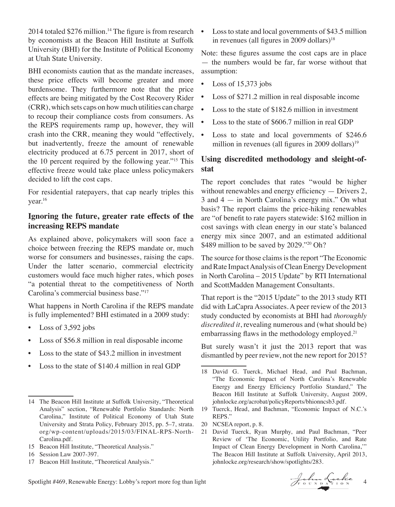2014 totaled  $$276$  million.<sup>14</sup> The figure is from research by economists at the Beacon Hill Institute at Suffolk University (BHI) for the Institute of Political Economy at Utah State University.

BHI economists caution that as the mandate increases, these price effects will become greater and more burdensome. They furthermore note that the price effects are being mitigated by the Cost Recovery Rider (CRR), which sets caps on how much utilities can charge to recoup their compliance costs from consumers. As the REPS requirements ramp up, however, they will crash into the CRR, meaning they would "effectively, but inadvertently, freeze the amount of renewable electricity produced at 6.75 percent in 2017, short of the 10 percent required by the following year."15 This effective freeze would take place unless policymakers decided to lift the cost caps.

For residential ratepayers, that cap nearly triples this year.16

#### **Ignoring the future, greater rate effects of the increasing REPS mandate**

As explained above, policymakers will soon face a choice between freezing the REPS mandate or, much worse for consumers and businesses, raising the caps. Under the latter scenario, commercial electricity customers would face much higher rates, which poses "a potential threat to the competitiveness of North Carolina's commercial business base."17

What happens in North Carolina if the REPS mandate is fully implemented? BHI estimated in a 2009 study:

- Loss of 3,592 jobs
- Loss of \$56.8 million in real disposable income
- Loss to the state of \$43.2 million in investment
- Loss to the state of \$140.4 million in real GDP

17 Beacon Hill Institute, "Theoretical Analysis."

• Loss to state and local governments of \$43.5 million in revenues (all figures in 2009 dollars) $18$ 

Note: these figures assume the cost caps are in place — the numbers would be far, far worse without that assumption:

- Loss of  $15,373$  jobs
- Loss of \$271.2 million in real disposable income
- Loss to the state of \$182.6 million in investment
- Loss to the state of \$606.7 million in real GDP
- Loss to state and local governments of \$246.6 million in revenues (all figures in 2009 dollars)<sup>19</sup>

#### **Using discredited methodology and sleight-ofstat**

The report concludes that rates "would be higher without renewables and energy efficiency — Drivers 2, 3 and 4 — in North Carolina's energy mix." On what basis? The report claims the price-hiking renewables are "of benefit to rate payers statewide: \$162 million in cost savings with clean energy in our state's balanced energy mix since 2007, and an estimated additional \$489 million to be saved by 2029."20 Oh?

The source for those claims is the report "The Economic and Rate Impact Analysis of Clean Energy Development in North Carolina – 2015 Update" by RTI International and ScottMadden Management Consultants.

That report is the "2015 Update" to the 2013 study RTI did with LaCapra Associates. A peer review of the 2013 study conducted by economists at BHI had *thoroughly discredited it*, revealing numerous and (what should be) embarrassing flaws in the methodology employed.<sup>21</sup>

But surely wasn't it just the 2013 report that was dismantled by peer review, not the new report for 2015?

- 20 NCSEA report, p. 8.
- 21 David Tuerck, Ryan Murphy, and Paul Bachman, "Peer Review of 'The Economic, Utility Portfolio, and Rate Impact of Clean Energy Development in North Carolina,'" The Beacon Hill Institute at Suffolk University, April 2013, johnlocke.org/research/show/spotlights/283.

Spotlight #469, Renewable Energy: Lobby's report more fog than light  $\int_{F_0}^{F_0} \int_{F_1}^{F_2} \int_{F_2}^{F_3} \int_{F_4}^{F_4} \int_{F_5}^{F_6} \int_{F_6}^{F_7} \int_{F_7}^{F_8} \int_{F_8}^{F_9} \int_{F_9}^{F_9} \int_{F_9}^{F_9} \int_{F_9}^{F_9} \int_{F_9}^{F_9} \int_{F_9}$ 

<sup>14</sup> The Beacon Hill Institute at Suffolk University, "Theoretical Analysis" section, "Renewable Portfolio Standards: North Carolina," Institute of Political Economy of Utah State University and Strata Policy, February 2015, pp. 5–7, strata. org/wp-content/uploads/2015/03/FINAL-RPS-North-Carolina.pdf.

<sup>15</sup> Beacon Hill Institute, "Theoretical Analysis."

<sup>16</sup> Session Law 2007-397.

<sup>18</sup> David G. Tuerck, Michael Head, and Paul Bachman, "The Economic Impact of North Carolina's Renewable Energy and Energy Efficiency Portfolio Standard," The Beacon Hill Institute at Suffolk University, August 2009, johnlocke.org/acrobat/policyReports/bhionncsb3.pdf.

<sup>19</sup> Tuerck, Head, and Bachman, "Economic Impact of N.C.'s REPS."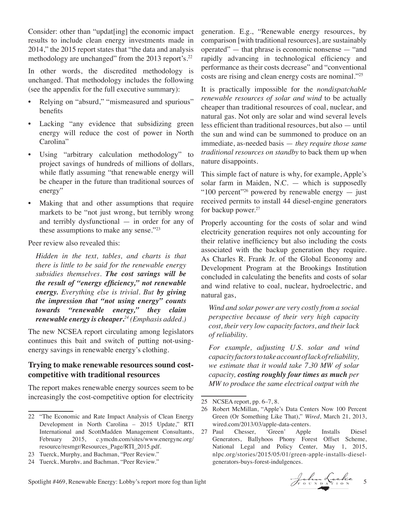Consider: other than "updat[ing] the economic impact results to include clean energy investments made in 2014," the 2015 report states that "the data and analysis methodology are unchanged" from the 2013 report's.<sup>22</sup>

In other words, the discredited methodology is unchanged. That methodology includes the following (see the appendix for the full executive summary):

- Relying on "absurd," "mismeasured and spurious" benefits
- Lacking "any evidence that subsidizing green energy will reduce the cost of power in North Carolina"
- Using "arbitrary calculation methodology" to project savings of hundreds of millions of dollars, while flatly assuming "that renewable energy will be cheaper in the future than traditional sources of energy"
- Making that and other assumptions that require markets to be "not just wrong, but terribly wrong and terribly dysfunctional — in order for any of these assumptions to make any sense."<sup>23</sup>

Peer review also revealed this:

*Hidden in the text, tables, and charts is that there is little to be said for the renewable energy subsidies themselves. The cost savings will be the result of "energy efficiency," not renewable energy. Everything else is trivial. But by giving the impression that "not using energy" counts towards "renewable energy," they claim renewable energy is cheaper***.** *24 (Emphasis added.)*

The new NCSEA report circulating among legislators continues this bait and switch of putting not-usingenergy savings in renewable energy's clothing.

#### **Trying to make renewable resources sound costcompetitive with traditional resources**

The report makes renewable energy sources seem to be increasingly the cost-competitive option for electricity

generation. E.g., "Renewable energy resources, by comparison [with traditional resources], are sustainably operated" — that phrase is economic nonsense — "and rapidly advancing in technological efficiency and performance as their costs decrease" and "conventional costs are rising and clean energy costs are nominal."25

It is practically impossible for the *nondispatchable renewable resources of solar and wind* to be actually cheaper than traditional resources of coal, nuclear, and natural gas. Not only are solar and wind several levels less efficient than traditional resources, but also — until the sun and wind can be summoned to produce on an immediate, as-needed basis — *they require those same traditional resources on standby* to back them up when nature disappoints.

This simple fact of nature is why, for example, Apple's solar farm in Maiden, N.C. — which is supposedly "100 percent"<sup>26</sup> powered by renewable energy  $-$  just received permits to install 44 diesel-engine generators for backup power.<sup>27</sup>

Properly accounting for the costs of solar and wind electricity generation requires not only accounting for their relative inefficiency but also including the costs associated with the backup generation they require. As Charles R. Frank Jr. of the Global Economy and Development Program at the Brookings Institution concluded in calculating the benefits and costs of solar and wind relative to coal, nuclear, hydroelectric, and natural gas,

*Wind and solar power are very costly from a social perspective because of their very high capacity cost, their very low capacity factors, and their lack of reliability.*

*For example, adjusting U.S. solar and wind capacity factors to take account of lack of reliability, we estimate that it would take 7.30 MW of solar capacity, costing roughly four times as much per MW to produce the same electrical output with the* 

<sup>22</sup> "The Economic and Rate Impact Analysis of Clean Energy Development in North Carolina – 2015 Update," RTI International and ScottMadden Management Consultants, February 2015, c.ymcdn.com/sites/www.energync.org/ resource/resmgr/Resources\_Page/RTI\_2015.pdf.

<sup>23</sup> Tuerck, Murphy, and Bachman, "Peer Review."

<sup>24</sup> Tuerck, Murphy, and Bachman, "Peer Review."

<sup>25</sup> NCSEA report, pp. 6–7, 8.

<sup>26</sup> Robert McMillan, "Apple's Data Centers Now 100 Percent Green (Or Something Like That)," *Wired*, March 21, 2013, wired.com/2013/03/apple-data-centers.

<sup>27</sup> Paul Chesser, 'Green' Apple Installs Diesel Generators, Ballyhoos Phony Forest Offset Scheme, National Legal and Policy Center, May 1, 2015, nlpc.org/stories/2015/05/01/green-apple-installs-dieselgenerators-buys-forest-indulgences.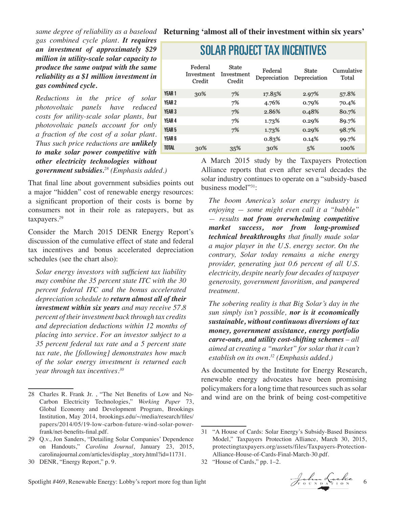*gas combined cycle plant. It requires an investment of approximately \$29 million in utility-scale solar capacity to produce the same output with the same reliability as a \$1 million investment in gas combined cycle.*

*Reductions in the price of solar photovoltaic panels have reduced costs for utility-scale solar plants, but photovoltaic panels account for only a fraction of the cost of a solar plant. Thus such price reductions are unlikely to make solar power competitive with other electricity technologies without government subsidies.28 (Emphasis added.)*

That final line about government subsidies points out a major "hidden" cost of renewable energy resources: a significant proportion of their costs is borne by consumers not in their role as ratepayers, but as taxpayers.29

Consider the March 2015 DENR Energy Report's discussion of the cumulative effect of state and federal tax incentives and bonus accelerated depreciation schedules (see the chart also):

*Solar energy investors with sufficient tax liability may combine the 35 percent state ITC with the 30 percent federal ITC and the bonus accelerated depreciation schedule to return almost all of their investment within six years and may receive 57.8 percent of their investment back through tax credits and depreciation deductions within 12 months of placing into service. For an investor subject to a 35 percent federal tax rate and a 5 percent state tax rate, the [following] demonstrates how much of the solar energy investment is returned each year through tax incentives.30*

### **SOLAR PROJECT TAX INCENTIVES**

|              | Federal<br>Investment<br>Credit | State<br>Investment<br>Credit | Federal<br>Depreciation | State<br>Depreciation | Cumulative<br>Total |
|--------------|---------------------------------|-------------------------------|-------------------------|-----------------------|---------------------|
| YEAR 1       | 30%                             | 7%                            | 17.85%                  | 2.97%                 | 57.8%               |
| YEAR 2       |                                 | 7%                            | 4.76%                   | 0.79%                 | 70.4%               |
| YEAR 3       |                                 | 7%                            | 2.86%                   | 0.48%                 | 80.7%               |
| YEAR 4       |                                 | 7%                            | 1.73%                   | 0.29%                 | 89.7%               |
| YEAR 5       |                                 | 7%                            | 1.73%                   | 0.29%                 | 98.7%               |
| YEAR 6       |                                 |                               | 0.83%                   | 0.14%                 | 99.7%               |
| <b>TOTAL</b> | 30%                             | 35%                           | 30%                     | 5%                    | 100%                |
|              |                                 |                               |                         |                       |                     |

A March 2015 study by the Taxpayers Protection Alliance reports that even after several decades the solar industry continues to operate on a "subsidy-based business model"31:

*The boom America's solar energy industry is enjoying — some might even call it a "bubble" — results not from overwhelming competitive market success, nor from long-promised technical breakthroughs that finally made solar a major player in the U.S. energy sector. On the contrary, Solar today remains a niche energy provider, generating just 0.6 percent of all U.S. electricity, despite nearly four decades of taxpayer generosity, government favoritism, and pampered treatment.* 

*The sobering reality is that Big Solar's day in the sun simply isn't possible, nor is it economically sustainable, without continuous diversions of tax money, government assistance, energy portfolio carve-outs, and utility cost-shifting schemes – all aimed at creating a "market" for solar that it can't establish on its own.32 (Emphasis added.)*

As documented by the Institute for Energy Research, renewable energy advocates have been promising policymakers for a long time that resources such as solar and wind are on the brink of being cost-competitive

<sup>32</sup> "House of Cards," pp. 1–2.



<sup>28</sup> Charles R. Frank Jr. , "The Net Benefits of Low and No-Carbon Electricity Technologies," *Working Paper* 73, Global Economy and Development Program, Brookings Institution, May 2014, brookings.edu/~/media/research/files/ papers/2014/05/19-low-carbon-future-wind-solar-powerfrank/net-benefits-final.pdf.

<sup>29</sup> Q.v., Jon Sanders, "Detailing Solar Companies' Dependence on Handouts," *Carolina Journal*, January 23, 2015, carolinajournal.com/articles/display\_story.html?id=11731.

<sup>30</sup> DENR, "Energy Report," p. 9.

<sup>31</sup> "A House of Cards: Solar Energy's Subsidy-Based Business Model," Taxpayers Protection Alliance, March 30, 2015, protectingtaxpayers.org/assets/files/Taxpayers-Protection-Alliance-House-of-Cards-Final-March-30.pdf.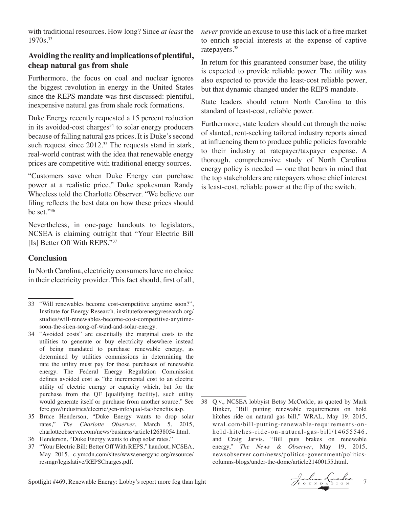with traditional resources. How long? Since *at least* the 1970s.33

#### **Avoiding the reality and implications of plentiful, cheap natural gas from shale**

Furthermore, the focus on coal and nuclear ignores the biggest revolution in energy in the United States since the REPS mandate was first discussed: plentiful, inexpensive natural gas from shale rock formations.

Duke Energy recently requested a 15 percent reduction in its avoided-cost charges $34$  to solar energy producers because of falling natural gas prices. It is Duke's second such request since  $2012^{35}$  The requests stand in stark, real-world contrast with the idea that renewable energy prices are competitive with traditional energy sources.

"Customers save when Duke Energy can purchase power at a realistic price," Duke spokesman Randy Wheeless told the Charlotte Observer. "We believe our filing reflects the best data on how these prices should be set."36

Nevertheless, in one-page handouts to legislators, NCSEA is claiming outright that "Your Electric Bill [Is] Better Off With REPS."37

#### **Conclusion**

In North Carolina, electricity consumers have no choice in their electricity provider. This fact should, first of all,

- 35 Bruce Henderson, "Duke Energy wants to drop solar rates," *The Charlotte Observer*, March 5, 2015, charlotteobserver.com/news/business/article12638054.html.
- 36 Henderson, "Duke Energy wants to drop solar rates."
- 37 "Your Electric Bill: Better Off With REPS," handout, NCSEA, May 2015, c.ymcdn.com/sites/www.energync.org/resource/ resmgr/legislative/REPSCharges.pdf.

*never* provide an excuse to use this lack of a free market to enrich special interests at the expense of captive ratepayers.38

In return for this guaranteed consumer base, the utility is expected to provide reliable power. The utility was also expected to provide the least-cost reliable power, but that dynamic changed under the REPS mandate.

State leaders should return North Carolina to this standard of least-cost, reliable power.

Furthermore, state leaders should cut through the noise of slanted, rent-seeking tailored industry reports aimed at influencing them to produce public policies favorable to their industry at ratepayer/taxpayer expense. A thorough, comprehensive study of North Carolina energy policy is needed — one that bears in mind that the top stakeholders are ratepayers whose chief interest is least-cost, reliable power at the flip of the switch.

<sup>33</sup> "Will renewables become cost-competitive anytime soon?", Institute for Energy Research, instituteforenergyresearch.org/ studies/will-renewables-become-cost-competitive-anytimesoon-the-siren-song-of-wind-and-solar-energy.

<sup>34</sup> "Avoided costs" are essentially the marginal costs to the utilities to generate or buy electricity elsewhere instead of being mandated to purchase renewable energy, as determined by utilities commissions in determining the rate the utility must pay for those purchases of renewable energy. The Federal Energy Regulation Commission defines avoided cost as "the incremental cost to an electric utility of electric energy or capacity which, but for the purchase from the QF [qualifying facility], such utility would generate itself or purchase from another source." See ferc.gov/industries/electric/gen-info/qual-fac/benefits.asp.

<sup>38</sup> Q.v., NCSEA lobbyist Betsy McCorkle, as quoted by Mark Binker, "Bill putting renewable requirements on hold hitches ride on natural gas bill," WRAL, May 19, 2015, wral.com/bill-putting-renewable-requirements-onhold-hitches-ride-on-natural-gas-bill/14655546, and Craig Jarvis, "Bill puts brakes on renewable energy," *The News & Observer*, May 19, 2015, newsobserver.com/news/politics-government/politicscolumns-blogs/under-the-dome/article21400155.html.